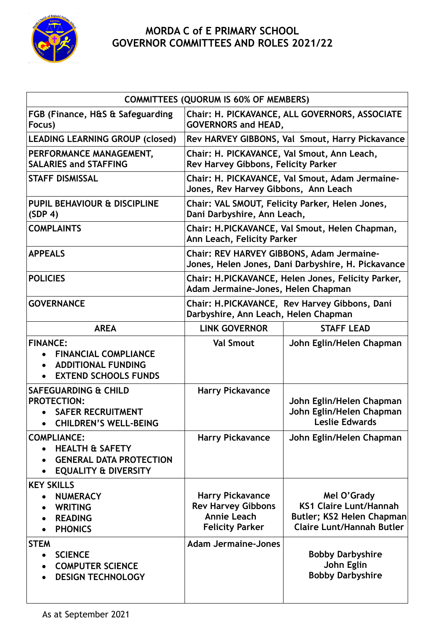

## **MORDA C of E PRIMARY SCHOOL GOVERNOR COMMITTEES AND ROLES 2021/22**

| <b>COMMITTEES (QUORUM IS 60% OF MEMBERS)</b>                                                                          |                                                                                                      |                                                                                                               |  |
|-----------------------------------------------------------------------------------------------------------------------|------------------------------------------------------------------------------------------------------|---------------------------------------------------------------------------------------------------------------|--|
| FGB (Finance, H&S & Safeguarding<br>Focus)                                                                            | Chair: H. PICKAVANCE, ALL GOVERNORS, ASSOCIATE<br><b>GOVERNORS and HEAD,</b>                         |                                                                                                               |  |
| <b>LEADING LEARNING GROUP (closed)</b>                                                                                | Rev HARVEY GIBBONS, Val Smout, Harry Pickavance                                                      |                                                                                                               |  |
| PERFORMANCE MANAGEMENT,<br><b>SALARIES and STAFFING</b>                                                               | Chair: H. PICKAVANCE, Val Smout, Ann Leach,<br>Rev Harvey Gibbons, Felicity Parker                   |                                                                                                               |  |
| <b>STAFF DISMISSAL</b>                                                                                                | Chair: H. PICKAVANCE, Val Smout, Adam Jermaine-<br>Jones, Rev Harvey Gibbons, Ann Leach              |                                                                                                               |  |
| PUPIL BEHAVIOUR & DISCIPLINE<br>(SDP 4)                                                                               | Chair: VAL SMOUT, Felicity Parker, Helen Jones,<br>Dani Darbyshire, Ann Leach,                       |                                                                                                               |  |
| <b>COMPLAINTS</b>                                                                                                     | Chair: H.PICKAVANCE, Val Smout, Helen Chapman,<br>Ann Leach, Felicity Parker                         |                                                                                                               |  |
| <b>APPEALS</b>                                                                                                        | Chair: REV HARVEY GIBBONS, Adam Jermaine-<br>Jones, Helen Jones, Dani Darbyshire, H. Pickavance      |                                                                                                               |  |
| <b>POLICIES</b>                                                                                                       | Chair: H.PICKAVANCE, Helen Jones, Felicity Parker,<br>Adam Jermaine-Jones, Helen Chapman             |                                                                                                               |  |
| <b>GOVERNANCE</b>                                                                                                     | Chair: H.PICKAVANCE, Rev Harvey Gibbons, Dani<br>Darbyshire, Ann Leach, Helen Chapman                |                                                                                                               |  |
| <b>AREA</b>                                                                                                           | <b>LINK GOVERNOR</b>                                                                                 | <b>STAFF LEAD</b>                                                                                             |  |
| <b>FINANCE:</b><br><b>FINANCIAL COMPLIANCE</b><br><b>ADDITIONAL FUNDING</b><br><b>EXTEND SCHOOLS FUNDS</b>            | <b>Val Smout</b>                                                                                     | John Eglin/Helen Chapman                                                                                      |  |
| <b>SAFEGUARDING &amp; CHILD</b><br><b>PROTECTION:</b><br><b>SAFER RECRUITMENT</b><br><b>CHILDREN'S WELL-BEING</b>     | <b>Harry Pickavance</b>                                                                              | John Eglin/Helen Chapman<br>John Eglin/Helen Chapman<br>Leslie Edwards                                        |  |
| <b>COMPLIANCE:</b><br><b>HEALTH &amp; SAFETY</b><br><b>GENERAL DATA PROTECTION</b><br><b>EQUALITY &amp; DIVERSITY</b> | <b>Harry Pickavance</b>                                                                              | John Eglin/Helen Chapman                                                                                      |  |
| <b>KEY SKILLS</b><br><b>NUMERACY</b><br><b>WRITING</b><br><b>READING</b><br><b>PHONICS</b>                            | <b>Harry Pickavance</b><br><b>Rev Harvey Gibbons</b><br><b>Annie Leach</b><br><b>Felicity Parker</b> | Mel O'Grady<br><b>KS1 Claire Lunt/Hannah</b><br>Butler; KS2 Helen Chapman<br><b>Claire Lunt/Hannah Butler</b> |  |
| <b>STEM</b><br><b>SCIENCE</b><br>$\bullet$<br><b>COMPUTER SCIENCE</b><br>$\bullet$<br><b>DESIGN TECHNOLOGY</b>        | <b>Adam Jermaine-Jones</b>                                                                           | <b>Bobby Darbyshire</b><br>John Eglin<br><b>Bobby Darbyshire</b>                                              |  |